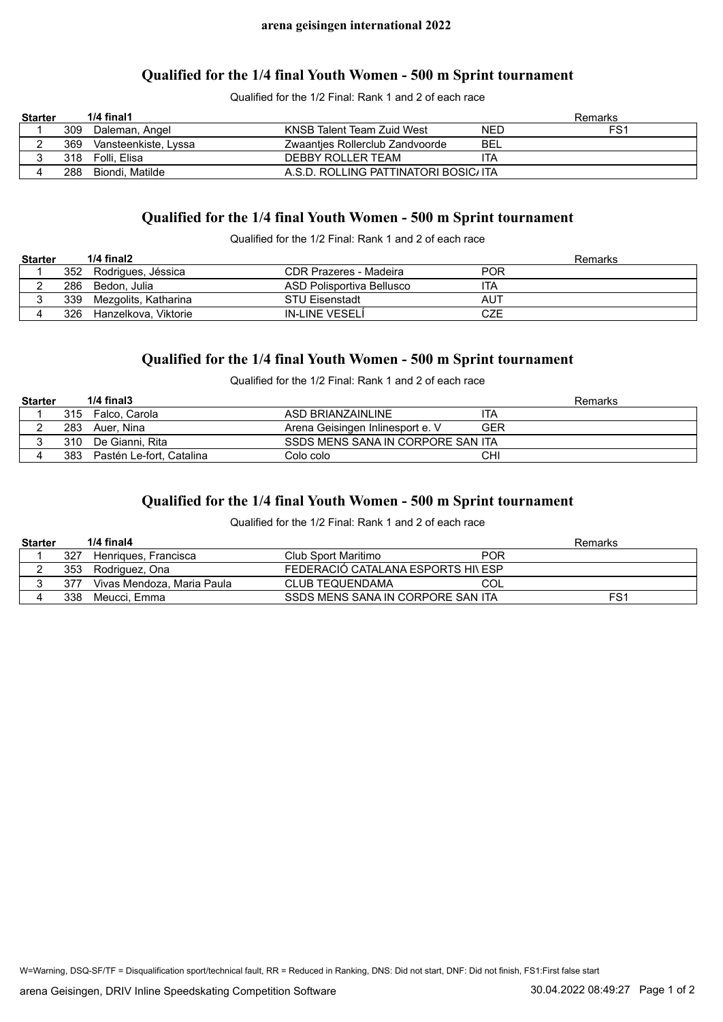#### **Qualified for the 1/4 final Youth Women - 500 m Sprint tournament**

Qualified for the 1/2 Final: Rank 1 and 2 of each race

| <b>Starter</b> |     | $1/4$ final $1$      |                                      |            | Remarks |
|----------------|-----|----------------------|--------------------------------------|------------|---------|
|                | 309 | Daleman, Angel       | KNSB Talent Team Zuid West           | <b>NED</b> | FS1     |
|                | 369 | Vansteenkiste, Lyssa | Zwaanties Rollerclub Zandvoorde      | BEL        |         |
|                | 318 | Folli, Elisa         | DEBBY ROLLER TEAM                    | ITA        |         |
|                | 288 | Biondi. Matilde      | A.S.D. ROLLING PATTINATORI BOSIC/ITA |            |         |

# **Qualified for the 1/4 final Youth Women - 500 m Sprint tournament**

Qualified for the 1/2 Final: Rank 1 and 2 of each race

| <b>Starter</b> |     | $1/4$ final $2$      |                           | Remarks    |
|----------------|-----|----------------------|---------------------------|------------|
|                | 352 | Rodrigues, Jéssica   | CDR Prazeres - Madeira    | <b>POR</b> |
|                | 286 | Bedon. Julia         | ASD Polisportiva Bellusco | ۱TA        |
|                | 339 | Mezgolits, Katharina | <b>STU Eisenstadt</b>     | AUT        |
|                | 326 | Hanzelkova, Viktorie | <b>IN-LINE VESELI</b>     | CZE        |

# **Qualified for the 1/4 final Youth Women - 500 m Sprint tournament**

Qualified for the 1/2 Final: Rank 1 and 2 of each race

| <b>Starter</b> |     | $1/4$ final $3$          |                                   | Remarks |
|----------------|-----|--------------------------|-----------------------------------|---------|
|                | 315 | Falco, Carola            | ASD BRIANZAINLINE                 | ITA     |
|                | 283 | Auer, Nina               | Arena Geisingen Inlinesport e. V  | GER     |
|                | 310 | De Gianni. Rita          | SSDS MENS SANA IN CORPORE SAN ITA |         |
|                | 383 | Pastén Le-fort, Catalina | Colo colo                         | CHI     |

# **Qualified for the 1/4 final Youth Women - 500 m Sprint tournament**

Qualified for the 1/2 Final: Rank 1 and 2 of each race

| <b>Starter</b> |     | 1/4 final4                 |                                    | Remarks |
|----------------|-----|----------------------------|------------------------------------|---------|
|                | 327 | Henriques, Francisca       | POR<br>Club Sport Maritimo         |         |
|                | 353 | Rodriguez, Ona             | FEDERACIÓ CATALANA ESPORTS HI\ ESP |         |
|                | 377 | Vivas Mendoza, Maria Paula | COL<br>CLUB TEQUENDAMA             |         |
|                | 338 | Meucci. Emma               | SSDS MENS SANA IN CORPORE SAN ITA  | FS1     |